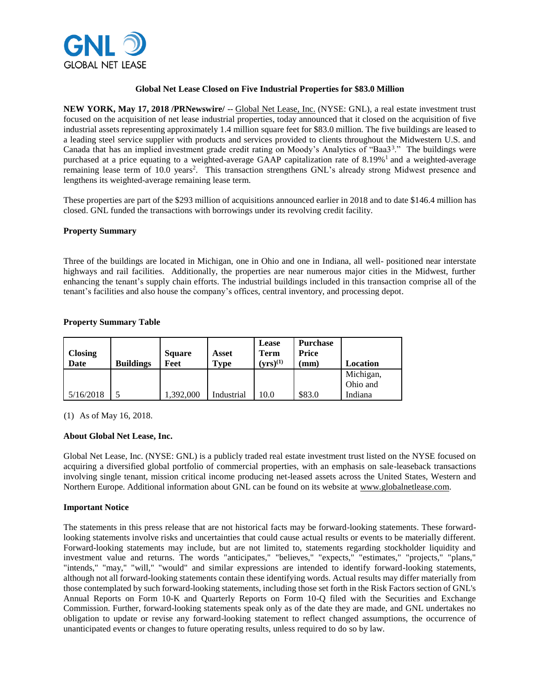

### **Global Net Lease Closed on Five Industrial Properties for \$83.0 Million**

**NEW YORK, May 17, 2018 /PRNewswire/** -- Global Net Lease, Inc. (NYSE: GNL), a real estate investment trust focused on the acquisition of net lease industrial properties, today announced that it closed on the acquisition of five industrial assets representing approximately 1.4 million square feet for \$83.0 million. The five buildings are leased to a leading steel service supplier with products and services provided to clients throughout the Midwestern U.S. and Canada that has an implied investment grade credit rating on Moody's Analytics of "Baa3<sup>3</sup>." The buildings were purchased at a price equating to a weighted-average GAAP capitalization rate of 8.19%<sup>1</sup> and a weighted-average remaining lease term of 10.0 years<sup>2</sup>. This transaction strengthens GNL's already strong Midwest presence and lengthens its weighted-average remaining lease term.

These properties are part of the \$293 million of acquisitions announced earlier in 2018 and to date \$146.4 million has closed. GNL funded the transactions with borrowings under its revolving credit facility.

### **Property Summary**

Three of the buildings are located in Michigan, one in Ohio and one in Indiana, all well- positioned near interstate highways and rail facilities. Additionally, the properties are near numerous major cities in the Midwest, further enhancing the tenant's supply chain efforts. The industrial buildings included in this transaction comprise all of the tenant's facilities and also house the company's offices, central inventory, and processing depot.

## **Property Summary Table**

| <b>Closing</b><br>Date | <b>Buildings</b> | <b>Square</b><br>Feet | Asset<br><b>Type</b> | Lease<br>Term<br>$(\mathbf{y} \mathbf{r} \mathbf{s})^{(1)}$ | <b>Purchase</b><br>Price<br>mm) | Location              |
|------------------------|------------------|-----------------------|----------------------|-------------------------------------------------------------|---------------------------------|-----------------------|
|                        |                  |                       |                      |                                                             |                                 | Michigan,<br>Ohio and |
| 5/16/2018              |                  | ,392,000              | Industrial           | 10.0                                                        | \$83.0                          | Indiana               |

(1) As of May 16, 2018.

# **About Global Net Lease, Inc.**

Global Net Lease, Inc. (NYSE: GNL) is a publicly traded real estate investment trust listed on the NYSE focused on acquiring a diversified global portfolio of commercial properties, with an emphasis on sale-leaseback transactions involving single tenant, mission critical income producing net-leased assets across the United States, Western and Northern Europe. Additional information about GNL can be found on its website at www.globalnetlease.com.

### **Important Notice**

The statements in this press release that are not historical facts may be forward-looking statements. These forwardlooking statements involve risks and uncertainties that could cause actual results or events to be materially different. Forward-looking statements may include, but are not limited to, statements regarding stockholder liquidity and investment value and returns. The words "anticipates," "believes," "expects," "estimates," "projects," "plans," "intends," "may," "will," "would" and similar expressions are intended to identify forward-looking statements, although not all forward-looking statements contain these identifying words. Actual results may differ materially from those contemplated by such forward-looking statements, including those set forth in the Risk Factors section of GNL's Annual Reports on Form 10-K and Quarterly Reports on Form 10-Q filed with the Securities and Exchange Commission. Further, forward-looking statements speak only as of the date they are made, and GNL undertakes no obligation to update or revise any forward-looking statement to reflect changed assumptions, the occurrence of unanticipated events or changes to future operating results, unless required to do so by law.